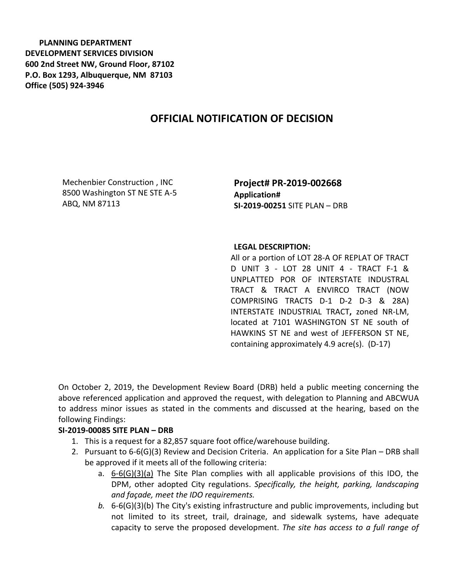**PLANNING DEPARTMENT DEVELOPMENT SERVICES DIVISION 600 2nd Street NW, Ground Floor, 87102 P.O. Box 1293, Albuquerque, NM 87103 Office (505) 924-3946** 

## **OFFICIAL NOTIFICATION OF DECISION**

Mechenbier Construction , INC 8500 Washington ST NE STE A-5 ABQ, NM 87113

**Project# PR-2019-002668 Application# SI-2019-00251** SITE PLAN – DRB

## **LEGAL DESCRIPTION:**

All or a portion of LOT 28-A OF REPLAT OF TRACT D UNIT 3 - LOT 28 UNIT 4 - TRACT F-1 & UNPLATTED POR OF INTERSTATE INDUSTRAL TRACT & TRACT A ENVIRCO TRACT (NOW COMPRISING TRACTS D-1 D-2 D-3 & 28A) INTERSTATE INDUSTRIAL TRACT**,** zoned NR-LM, located at 7101 WASHINGTON ST NE south of HAWKINS ST NE and west of JEFFERSON ST NE, containing approximately 4.9 acre(s). (D-17)

On October 2, 2019, the Development Review Board (DRB) held a public meeting concerning the above referenced application and approved the request, with delegation to Planning and ABCWUA to address minor issues as stated in the comments and discussed at the hearing, based on the following Findings:

## **SI-2019-00085 SITE PLAN – DRB**

- 1. This is a request for a 82,857 square foot office/warehouse building.
- 2. Pursuant to 6-6(G)(3) Review and Decision Criteria. An application for a Site Plan DRB shall be approved if it meets all of the following criteria:
	- a.  $6-6(G)(3)(a)$  The Site Plan complies with all applicable provisions of this IDO, the DPM, other adopted City regulations. *Specifically, the height, parking, landscaping and façade, meet the IDO requirements.*
	- *b.* 6-6(G)(3)(b) The City's existing infrastructure and public improvements, including but not limited to its street, trail, drainage, and sidewalk systems, have adequate capacity to serve the proposed development. *The site has access to a full range of*